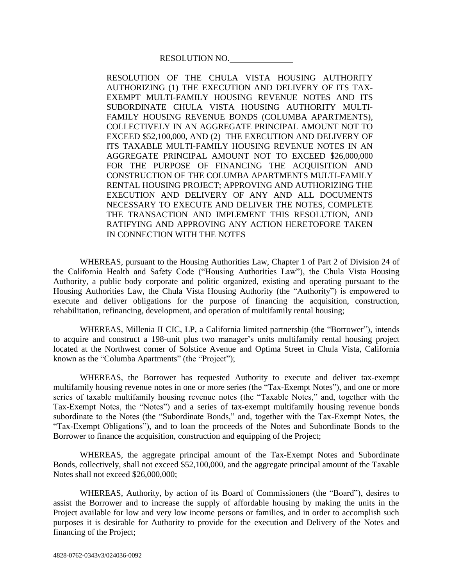RESOLUTION NO.

RESOLUTION OF THE CHULA VISTA HOUSING AUTHORITY AUTHORIZING (1) THE EXECUTION AND DELIVERY OF ITS TAX-EXEMPT MULTI-FAMILY HOUSING REVENUE NOTES AND ITS SUBORDINATE CHULA VISTA HOUSING AUTHORITY MULTI-FAMILY HOUSING REVENUE BONDS (COLUMBA APARTMENTS), COLLECTIVELY IN AN AGGREGATE PRINCIPAL AMOUNT NOT TO EXCEED \$52,100,000, AND (2) THE EXECUTION AND DELIVERY OF ITS TAXABLE MULTI-FAMILY HOUSING REVENUE NOTES IN AN AGGREGATE PRINCIPAL AMOUNT NOT TO EXCEED \$26,000,000 FOR THE PURPOSE OF FINANCING THE ACOUISITION AND CONSTRUCTION OF THE COLUMBA APARTMENTS MULTI-FAMILY RENTAL HOUSING PROJECT; APPROVING AND AUTHORIZING THE EXECUTION AND DELIVERY OF ANY AND ALL DOCUMENTS NECESSARY TO EXECUTE AND DELIVER THE NOTES, COMPLETE THE TRANSACTION AND IMPLEMENT THIS RESOLUTION, AND RATIFYING AND APPROVING ANY ACTION HERETOFORE TAKEN IN CONNECTION WITH THE NOTES

WHEREAS, pursuant to the Housing Authorities Law, Chapter 1 of Part 2 of Division 24 of the California Health and Safety Code ("Housing Authorities Law"), the Chula Vista Housing Authority, a public body corporate and politic organized, existing and operating pursuant to the Housing Authorities Law, the Chula Vista Housing Authority (the "Authority") is empowered to execute and deliver obligations for the purpose of financing the acquisition, construction, rehabilitation, refinancing, development, and operation of multifamily rental housing;

WHEREAS, Millenia II CIC, LP, a California limited partnership (the "Borrower"), intends to acquire and construct a 198-unit plus two manager's units multifamily rental housing project located at the Northwest corner of Solstice Avenue and Optima Street in Chula Vista, California known as the "Columba Apartments" (the "Project");

WHEREAS, the Borrower has requested Authority to execute and deliver tax-exempt multifamily housing revenue notes in one or more series (the "Tax-Exempt Notes"), and one or more series of taxable multifamily housing revenue notes (the "Taxable Notes," and, together with the Tax-Exempt Notes, the "Notes") and a series of tax-exempt multifamily housing revenue bonds subordinate to the Notes (the "Subordinate Bonds," and, together with the Tax-Exempt Notes, the "Tax-Exempt Obligations"), and to loan the proceeds of the Notes and Subordinate Bonds to the Borrower to finance the acquisition, construction and equipping of the Project;

WHEREAS, the aggregate principal amount of the Tax-Exempt Notes and Subordinate Bonds, collectively, shall not exceed \$52,100,000, and the aggregate principal amount of the Taxable Notes shall not exceed \$26,000,000;

WHEREAS, Authority, by action of its Board of Commissioners (the "Board"), desires to assist the Borrower and to increase the supply of affordable housing by making the units in the Project available for low and very low income persons or families, and in order to accomplish such purposes it is desirable for Authority to provide for the execution and Delivery of the Notes and financing of the Project;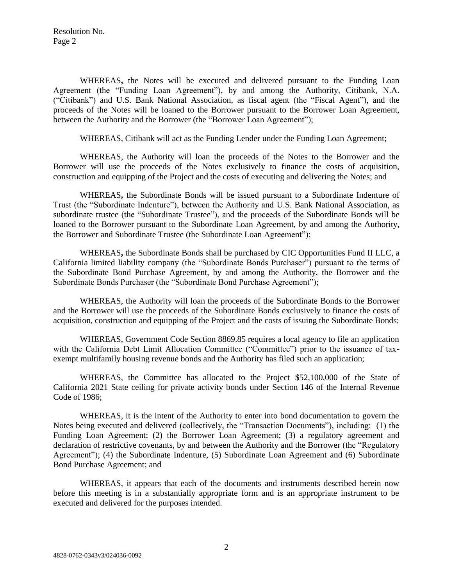Resolution No. Page 2

WHEREAS**,** the Notes will be executed and delivered pursuant to the Funding Loan Agreement (the "Funding Loan Agreement"), by and among the Authority, Citibank, N.A. ("Citibank") and U.S. Bank National Association, as fiscal agent (the "Fiscal Agent"), and the proceeds of the Notes will be loaned to the Borrower pursuant to the Borrower Loan Agreement, between the Authority and the Borrower (the "Borrower Loan Agreement");

WHEREAS, Citibank will act as the Funding Lender under the Funding Loan Agreement;

WHEREAS, the Authority will loan the proceeds of the Notes to the Borrower and the Borrower will use the proceeds of the Notes exclusively to finance the costs of acquisition, construction and equipping of the Project and the costs of executing and delivering the Notes; and

WHEREAS**,** the Subordinate Bonds will be issued pursuant to a Subordinate Indenture of Trust (the "Subordinate Indenture"), between the Authority and U.S. Bank National Association, as subordinate trustee (the "Subordinate Trustee"), and the proceeds of the Subordinate Bonds will be loaned to the Borrower pursuant to the Subordinate Loan Agreement, by and among the Authority, the Borrower and Subordinate Trustee (the Subordinate Loan Agreement");

WHEREAS**,** the Subordinate Bonds shall be purchased by CIC Opportunities Fund II LLC, a California limited liability company (the "Subordinate Bonds Purchaser") pursuant to the terms of the Subordinate Bond Purchase Agreement, by and among the Authority, the Borrower and the Subordinate Bonds Purchaser (the "Subordinate Bond Purchase Agreement");

WHEREAS, the Authority will loan the proceeds of the Subordinate Bonds to the Borrower and the Borrower will use the proceeds of the Subordinate Bonds exclusively to finance the costs of acquisition, construction and equipping of the Project and the costs of issuing the Subordinate Bonds;

WHEREAS, Government Code Section 8869.85 requires a local agency to file an application with the California Debt Limit Allocation Committee ("Committee") prior to the issuance of taxexempt multifamily housing revenue bonds and the Authority has filed such an application;

WHEREAS, the Committee has allocated to the Project \$52,100,000 of the State of California 2021 State ceiling for private activity bonds under Section 146 of the Internal Revenue Code of 1986;

WHEREAS, it is the intent of the Authority to enter into bond documentation to govern the Notes being executed and delivered (collectively, the "Transaction Documents"), including: (1) the Funding Loan Agreement; (2) the Borrower Loan Agreement; (3) a regulatory agreement and declaration of restrictive covenants, by and between the Authority and the Borrower (the "Regulatory Agreement"); (4) the Subordinate Indenture, (5) Subordinate Loan Agreement and (6) Subordinate Bond Purchase Agreement; and

WHEREAS, it appears that each of the documents and instruments described herein now before this meeting is in a substantially appropriate form and is an appropriate instrument to be executed and delivered for the purposes intended.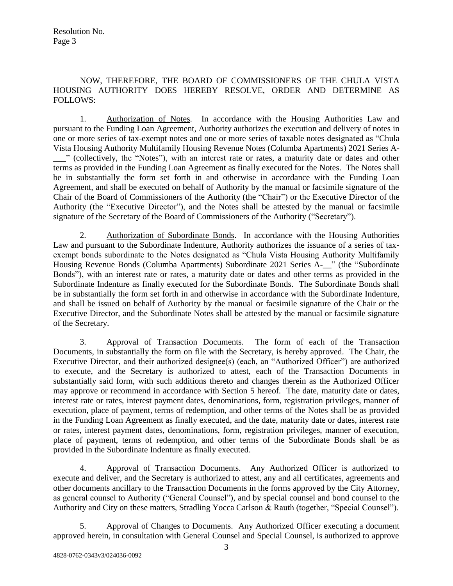## NOW, THEREFORE, THE BOARD OF COMMISSIONERS OF THE CHULA VISTA HOUSING AUTHORITY DOES HEREBY RESOLVE, ORDER AND DETERMINE AS FOLLOWS:

1. Authorization of Notes. In accordance with the Housing Authorities Law and pursuant to the Funding Loan Agreement, Authority authorizes the execution and delivery of notes in one or more series of tax-exempt notes and one or more series of taxable notes designated as "Chula Vista Housing Authority Multifamily Housing Revenue Notes (Columba Apartments) 2021 Series A- \_\_\_" (collectively, the "Notes"), with an interest rate or rates, a maturity date or dates and other terms as provided in the Funding Loan Agreement as finally executed for the Notes. The Notes shall be in substantially the form set forth in and otherwise in accordance with the Funding Loan Agreement, and shall be executed on behalf of Authority by the manual or facsimile signature of the Chair of the Board of Commissioners of the Authority (the "Chair") or the Executive Director of the Authority (the "Executive Director"), and the Notes shall be attested by the manual or facsimile signature of the Secretary of the Board of Commissioners of the Authority ("Secretary").

2. Authorization of Subordinate Bonds. In accordance with the Housing Authorities Law and pursuant to the Subordinate Indenture, Authority authorizes the issuance of a series of taxexempt bonds subordinate to the Notes designated as "Chula Vista Housing Authority Multifamily Housing Revenue Bonds (Columba Apartments) Subordinate 2021 Series A-\_\_" (the "Subordinate Bonds"), with an interest rate or rates, a maturity date or dates and other terms as provided in the Subordinate Indenture as finally executed for the Subordinate Bonds. The Subordinate Bonds shall be in substantially the form set forth in and otherwise in accordance with the Subordinate Indenture, and shall be issued on behalf of Authority by the manual or facsimile signature of the Chair or the Executive Director, and the Subordinate Notes shall be attested by the manual or facsimile signature of the Secretary.

3. Approval of Transaction Documents. The form of each of the Transaction Documents, in substantially the form on file with the Secretary, is hereby approved. The Chair, the Executive Director, and their authorized designee(s) (each, an "Authorized Officer") are authorized to execute, and the Secretary is authorized to attest, each of the Transaction Documents in substantially said form, with such additions thereto and changes therein as the Authorized Officer may approve or recommend in accordance with Section 5 hereof. The date, maturity date or dates, interest rate or rates, interest payment dates, denominations, form, registration privileges, manner of execution, place of payment, terms of redemption, and other terms of the Notes shall be as provided in the Funding Loan Agreement as finally executed, and the date, maturity date or dates, interest rate or rates, interest payment dates, denominations, form, registration privileges, manner of execution, place of payment, terms of redemption, and other terms of the Subordinate Bonds shall be as provided in the Subordinate Indenture as finally executed.

4. Approval of Transaction Documents. Any Authorized Officer is authorized to execute and deliver, and the Secretary is authorized to attest, any and all certificates, agreements and other documents ancillary to the Transaction Documents in the forms approved by the City Attorney, as general counsel to Authority ("General Counsel"), and by special counsel and bond counsel to the Authority and City on these matters, Stradling Yocca Carlson & Rauth (together, "Special Counsel").

5. Approval of Changes to Documents. Any Authorized Officer executing a document approved herein, in consultation with General Counsel and Special Counsel, is authorized to approve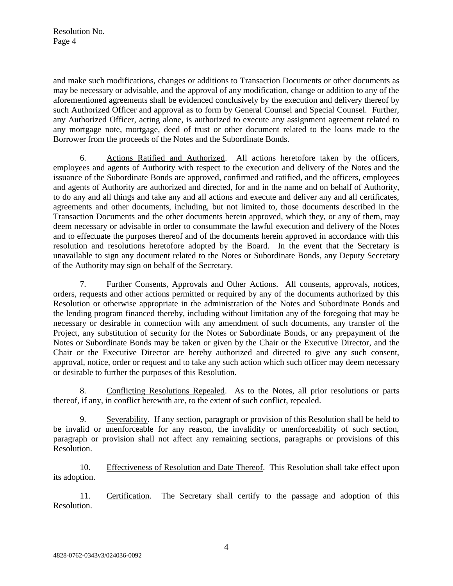Resolution No. Page 4

and make such modifications, changes or additions to Transaction Documents or other documents as may be necessary or advisable, and the approval of any modification, change or addition to any of the aforementioned agreements shall be evidenced conclusively by the execution and delivery thereof by such Authorized Officer and approval as to form by General Counsel and Special Counsel. Further, any Authorized Officer, acting alone, is authorized to execute any assignment agreement related to any mortgage note, mortgage, deed of trust or other document related to the loans made to the Borrower from the proceeds of the Notes and the Subordinate Bonds.

6. Actions Ratified and Authorized. All actions heretofore taken by the officers, employees and agents of Authority with respect to the execution and delivery of the Notes and the issuance of the Subordinate Bonds are approved, confirmed and ratified, and the officers, employees and agents of Authority are authorized and directed, for and in the name and on behalf of Authority, to do any and all things and take any and all actions and execute and deliver any and all certificates, agreements and other documents, including, but not limited to, those documents described in the Transaction Documents and the other documents herein approved, which they, or any of them, may deem necessary or advisable in order to consummate the lawful execution and delivery of the Notes and to effectuate the purposes thereof and of the documents herein approved in accordance with this resolution and resolutions heretofore adopted by the Board. In the event that the Secretary is unavailable to sign any document related to the Notes or Subordinate Bonds, any Deputy Secretary of the Authority may sign on behalf of the Secretary.

7. Further Consents, Approvals and Other Actions. All consents, approvals, notices, orders, requests and other actions permitted or required by any of the documents authorized by this Resolution or otherwise appropriate in the administration of the Notes and Subordinate Bonds and the lending program financed thereby, including without limitation any of the foregoing that may be necessary or desirable in connection with any amendment of such documents, any transfer of the Project, any substitution of security for the Notes or Subordinate Bonds, or any prepayment of the Notes or Subordinate Bonds may be taken or given by the Chair or the Executive Director, and the Chair or the Executive Director are hereby authorized and directed to give any such consent, approval, notice, order or request and to take any such action which such officer may deem necessary or desirable to further the purposes of this Resolution.

8. Conflicting Resolutions Repealed. As to the Notes, all prior resolutions or parts thereof, if any, in conflict herewith are, to the extent of such conflict, repealed.

9. Severability. If any section, paragraph or provision of this Resolution shall be held to be invalid or unenforceable for any reason, the invalidity or unenforceability of such section, paragraph or provision shall not affect any remaining sections, paragraphs or provisions of this Resolution.

10. Effectiveness of Resolution and Date Thereof. This Resolution shall take effect upon its adoption.

11. Certification. The Secretary shall certify to the passage and adoption of this Resolution.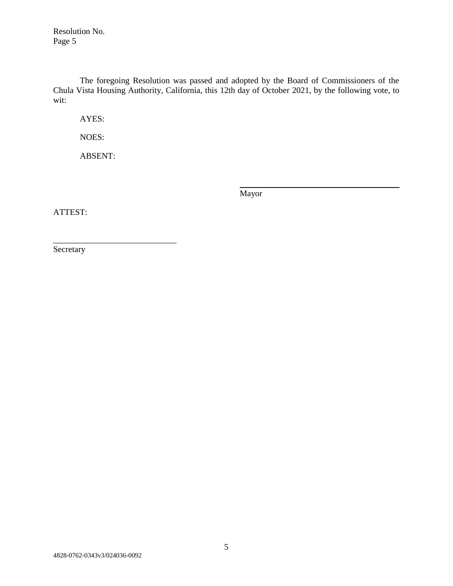Resolution No. Page 5

The foregoing Resolution was passed and adopted by the Board of Commissioners of the Chula Vista Housing Authority, California, this 12th day of October 2021, by the following vote, to wit:

AYES:

NOES:

ABSENT:

\_\_\_\_\_\_\_\_\_\_\_\_\_\_\_\_\_\_\_\_\_\_\_\_\_\_\_\_\_

Mayor

ATTEST:

**Secretary**